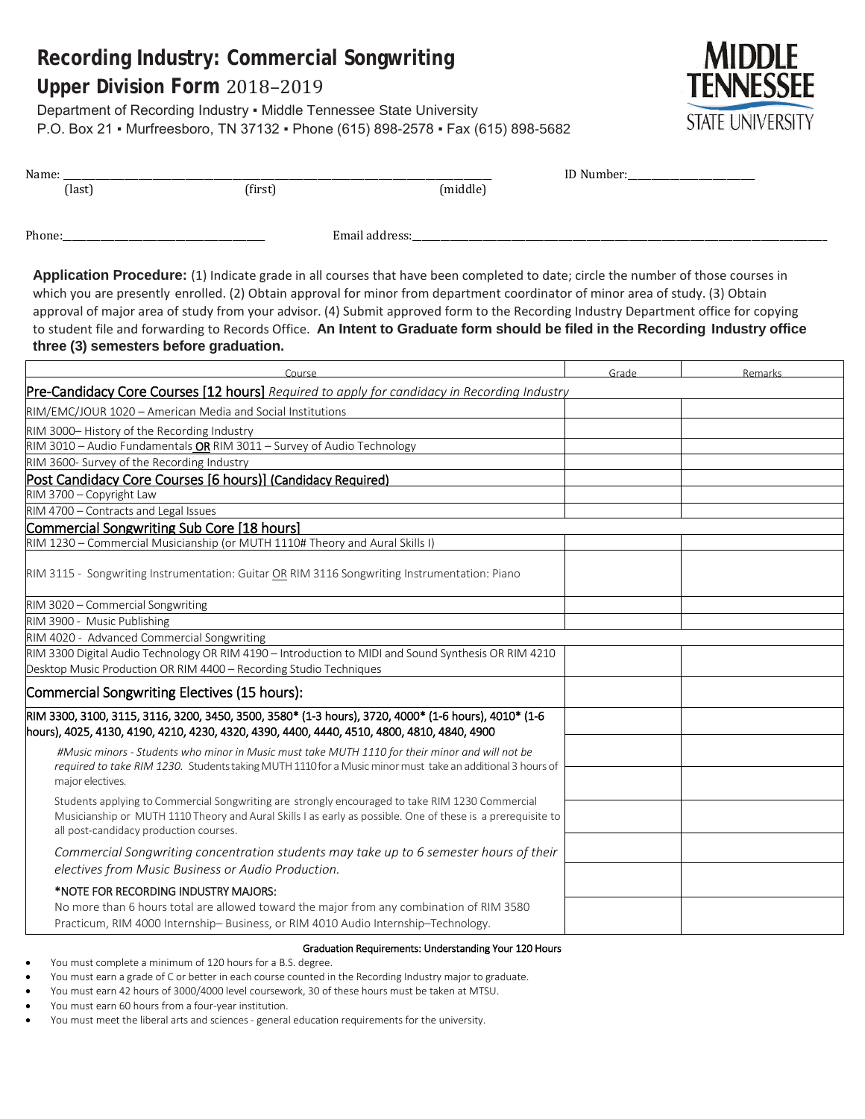# **Recording Industry: Commercial Songwriting**

## **Upper Division Form** 2018–2019

Department of Recording Industry ▪ Middle Tennessee State University P.O. Box 21 · Murfreesboro, TN 37132 · Phone (615) 898-2578 · Fax (615) 898-5682



| Name:                                        |                                                                                                                                                                               |                                                                                                                                                                                                                                                                                                                                                                                                                                                                                                                                            |       |         |
|----------------------------------------------|-------------------------------------------------------------------------------------------------------------------------------------------------------------------------------|--------------------------------------------------------------------------------------------------------------------------------------------------------------------------------------------------------------------------------------------------------------------------------------------------------------------------------------------------------------------------------------------------------------------------------------------------------------------------------------------------------------------------------------------|-------|---------|
| (last)                                       | (first)                                                                                                                                                                       | (middle)                                                                                                                                                                                                                                                                                                                                                                                                                                                                                                                                   |       |         |
| Phone:_                                      |                                                                                                                                                                               | Email address:                                                                                                                                                                                                                                                                                                                                                                                                                                                                                                                             |       |         |
| three (3) semesters before graduation.       |                                                                                                                                                                               | Application Procedure: (1) Indicate grade in all courses that have been completed to date; circle the number of those courses in<br>which you are presently enrolled. (2) Obtain approval for minor from department coordinator of minor area of study. (3) Obtain<br>approval of major area of study from your advisor. (4) Submit approved form to the Recording Industry Department office for copying<br>to student file and forwarding to Records Office. An Intent to Graduate form should be filed in the Recording Industry office |       |         |
|                                              | Course                                                                                                                                                                        |                                                                                                                                                                                                                                                                                                                                                                                                                                                                                                                                            | Grade | Remarks |
|                                              |                                                                                                                                                                               | Pre-Candidacy Core Courses [12 hours] Required to apply for candidacy in Recording Industry                                                                                                                                                                                                                                                                                                                                                                                                                                                |       |         |
|                                              | RIM/EMC/JOUR 1020 - American Media and Social Institutions                                                                                                                    |                                                                                                                                                                                                                                                                                                                                                                                                                                                                                                                                            |       |         |
| RIM 3000-History of the Recording Industry   |                                                                                                                                                                               |                                                                                                                                                                                                                                                                                                                                                                                                                                                                                                                                            |       |         |
|                                              | RIM 3010 - Audio Fundamentals OR RIM 3011 - Survey of Audio Technology                                                                                                        |                                                                                                                                                                                                                                                                                                                                                                                                                                                                                                                                            |       |         |
| RIM 3600- Survey of the Recording Industry   |                                                                                                                                                                               |                                                                                                                                                                                                                                                                                                                                                                                                                                                                                                                                            |       |         |
|                                              | Post Candidacy Core Courses [6 hours)] (Candidacy Required)                                                                                                                   |                                                                                                                                                                                                                                                                                                                                                                                                                                                                                                                                            |       |         |
| RIM 3700 - Copyright Law                     |                                                                                                                                                                               |                                                                                                                                                                                                                                                                                                                                                                                                                                                                                                                                            |       |         |
| RIM 4700 - Contracts and Legal Issues        |                                                                                                                                                                               |                                                                                                                                                                                                                                                                                                                                                                                                                                                                                                                                            |       |         |
| Commercial Songwriting Sub Core [18 hours]   |                                                                                                                                                                               |                                                                                                                                                                                                                                                                                                                                                                                                                                                                                                                                            |       |         |
|                                              | RIM 1230 - Commercial Musicianship (or MUTH 1110# Theory and Aural Skills I)                                                                                                  |                                                                                                                                                                                                                                                                                                                                                                                                                                                                                                                                            |       |         |
|                                              | RIM 3115 - Songwriting Instrumentation: Guitar OR RIM 3116 Songwriting Instrumentation: Piano                                                                                 |                                                                                                                                                                                                                                                                                                                                                                                                                                                                                                                                            |       |         |
| RIM 3020 - Commercial Songwriting            |                                                                                                                                                                               |                                                                                                                                                                                                                                                                                                                                                                                                                                                                                                                                            |       |         |
| RIM 3900 - Music Publishing                  |                                                                                                                                                                               |                                                                                                                                                                                                                                                                                                                                                                                                                                                                                                                                            |       |         |
| RIM 4020 - Advanced Commercial Songwriting   |                                                                                                                                                                               |                                                                                                                                                                                                                                                                                                                                                                                                                                                                                                                                            |       |         |
|                                              | Desktop Music Production OR RIM 4400 - Recording Studio Techniques                                                                                                            | RIM 3300 Digital Audio Technology OR RIM 4190 – Introduction to MIDI and Sound Synthesis OR RIM 4210                                                                                                                                                                                                                                                                                                                                                                                                                                       |       |         |
| Commercial Songwriting Electives (15 hours): |                                                                                                                                                                               |                                                                                                                                                                                                                                                                                                                                                                                                                                                                                                                                            |       |         |
|                                              | hours), 4025, 4130, 4190, 4210, 4230, 4320, 4390, 4400, 4440, 4510, 4800, 4810, 4840, 4900                                                                                    | RIM 3300, 3100, 3115, 3116, 3200, 3450, 3500, 3580* (1-3 hours), 3720, 4000* (1-6 hours), 4010* (1-6                                                                                                                                                                                                                                                                                                                                                                                                                                       |       |         |
| major electives.                             |                                                                                                                                                                               | #Music minors - Students who minor in Music must take MUTH 1110 for their minor and will not be<br>required to take RIM 1230. Students taking MUTH 1110 for a Music minor must take an additional 3 hours of                                                                                                                                                                                                                                                                                                                               |       |         |
| all post-candidacy production courses.       |                                                                                                                                                                               | Students applying to Commercial Songwriting are strongly encouraged to take RIM 1230 Commercial<br>Musicianship or MUTH 1110 Theory and Aural Skills I as early as possible. One of these is a prerequisite to                                                                                                                                                                                                                                                                                                                             |       |         |
|                                              | electives from Music Business or Audio Production.                                                                                                                            | Commercial Songwriting concentration students may take up to 6 semester hours of their                                                                                                                                                                                                                                                                                                                                                                                                                                                     |       |         |
| *NOTE FOR RECORDING INDUSTRY MAJORS:         | No more than 6 hours total are allowed toward the major from any combination of RIM 3580<br>Practicum, RIM 4000 Internship-Business, or RIM 4010 Audio Internship-Technology. |                                                                                                                                                                                                                                                                                                                                                                                                                                                                                                                                            |       |         |

#### Graduation Requirements: Understanding Your 120 Hours

- You must complete a minimum of 120 hours for a B.S. degree.
- You must earn a grade of C or better in each course counted in the Recording Industry major to graduate.
- You must earn 42 hours of 3000/4000 level coursework, 30 of these hours must be taken at MTSU.
- You must earn 60 hours from a four-year institution.
- You must meet the liberal arts and sciences general education requirements for the university.